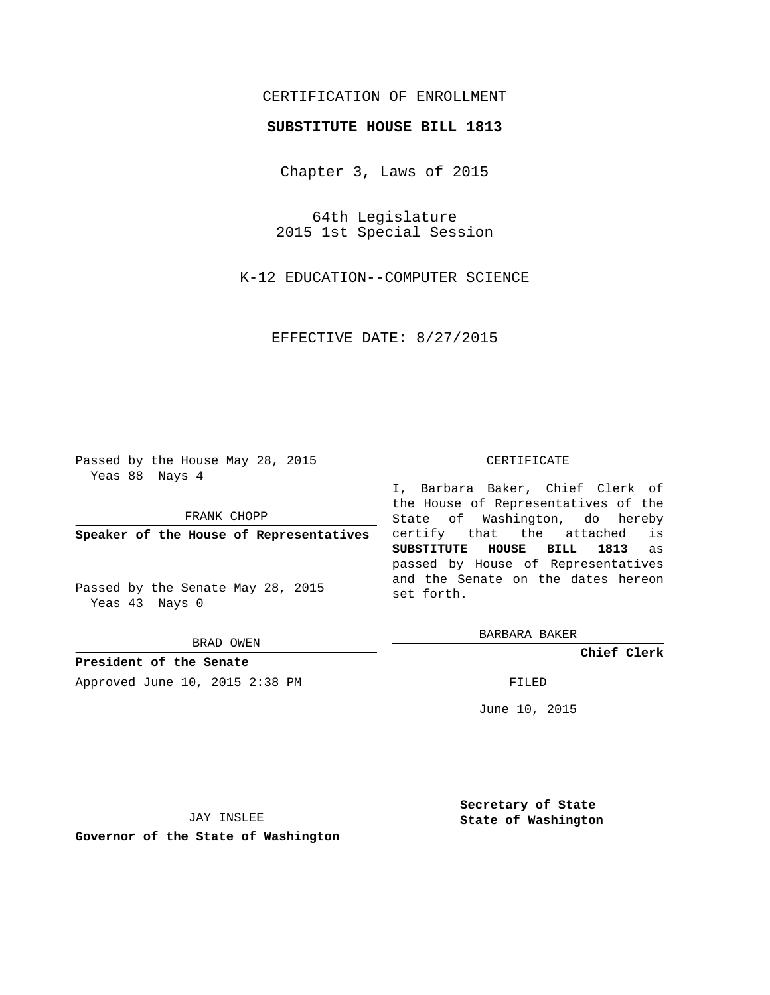# CERTIFICATION OF ENROLLMENT

# **SUBSTITUTE HOUSE BILL 1813**

Chapter 3, Laws of 2015

64th Legislature 2015 1st Special Session

K-12 EDUCATION--COMPUTER SCIENCE

EFFECTIVE DATE: 8/27/2015

Passed by the House May 28, 2015 Yeas 88 Nays 4

FRANK CHOPP

**Speaker of the House of Representatives**

Passed by the Senate May 28, 2015 Yeas 43 Nays 0

BRAD OWEN

**President of the Senate** Approved June 10, 2015 2:38 PM FILED

#### CERTIFICATE

I, Barbara Baker, Chief Clerk of the House of Representatives of the State of Washington, do hereby certify that the attached is **SUBSTITUTE HOUSE BILL 1813** as passed by House of Representatives and the Senate on the dates hereon set forth.

BARBARA BAKER

**Chief Clerk**

June 10, 2015

JAY INSLEE

**Governor of the State of Washington**

**Secretary of State State of Washington**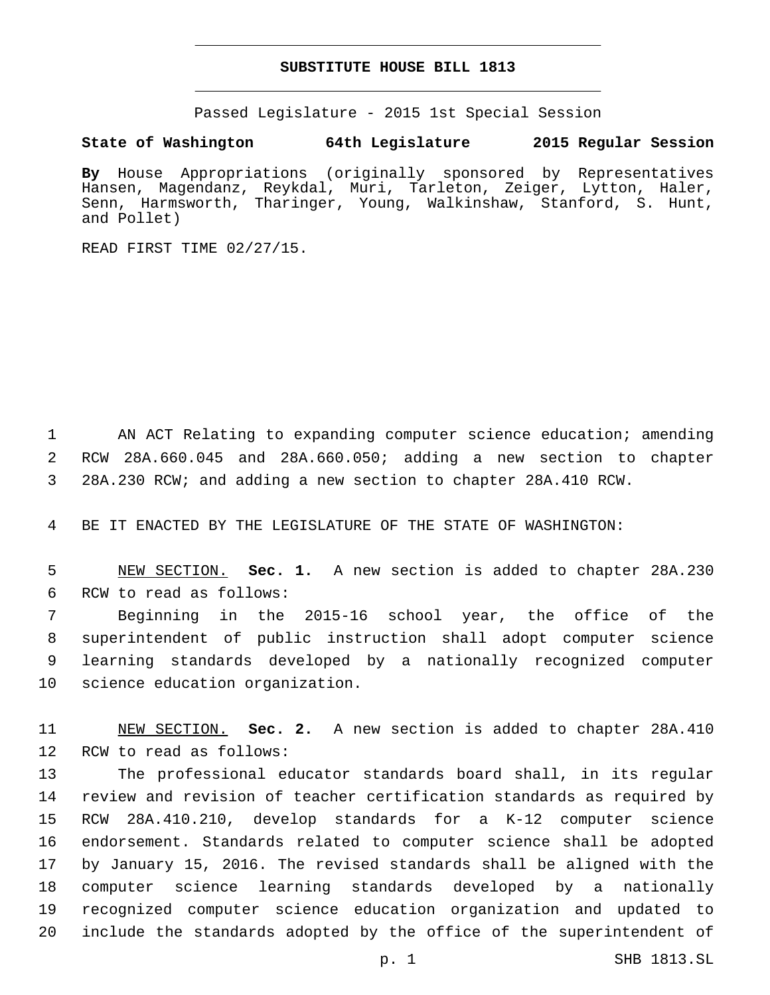## **SUBSTITUTE HOUSE BILL 1813**

Passed Legislature - 2015 1st Special Session

## **State of Washington 64th Legislature 2015 Regular Session**

**By** House Appropriations (originally sponsored by Representatives Hansen, Magendanz, Reykdal, Muri, Tarleton, Zeiger, Lytton, Haler, Senn, Harmsworth, Tharinger, Young, Walkinshaw, Stanford, S. Hunt, and Pollet)

READ FIRST TIME 02/27/15.

1 AN ACT Relating to expanding computer science education; amending 2 RCW 28A.660.045 and 28A.660.050; adding a new section to chapter 3 28A.230 RCW; and adding a new section to chapter 28A.410 RCW.

4 BE IT ENACTED BY THE LEGISLATURE OF THE STATE OF WASHINGTON:

5 NEW SECTION. **Sec. 1.** A new section is added to chapter 28A.230 6 RCW to read as follows:

 Beginning in the 2015-16 school year, the office of the superintendent of public instruction shall adopt computer science learning standards developed by a nationally recognized computer 10 science education organization.

11 NEW SECTION. **Sec. 2.** A new section is added to chapter 28A.410 12 RCW to read as follows:

 The professional educator standards board shall, in its regular review and revision of teacher certification standards as required by RCW 28A.410.210, develop standards for a K-12 computer science endorsement. Standards related to computer science shall be adopted by January 15, 2016. The revised standards shall be aligned with the computer science learning standards developed by a nationally recognized computer science education organization and updated to include the standards adopted by the office of the superintendent of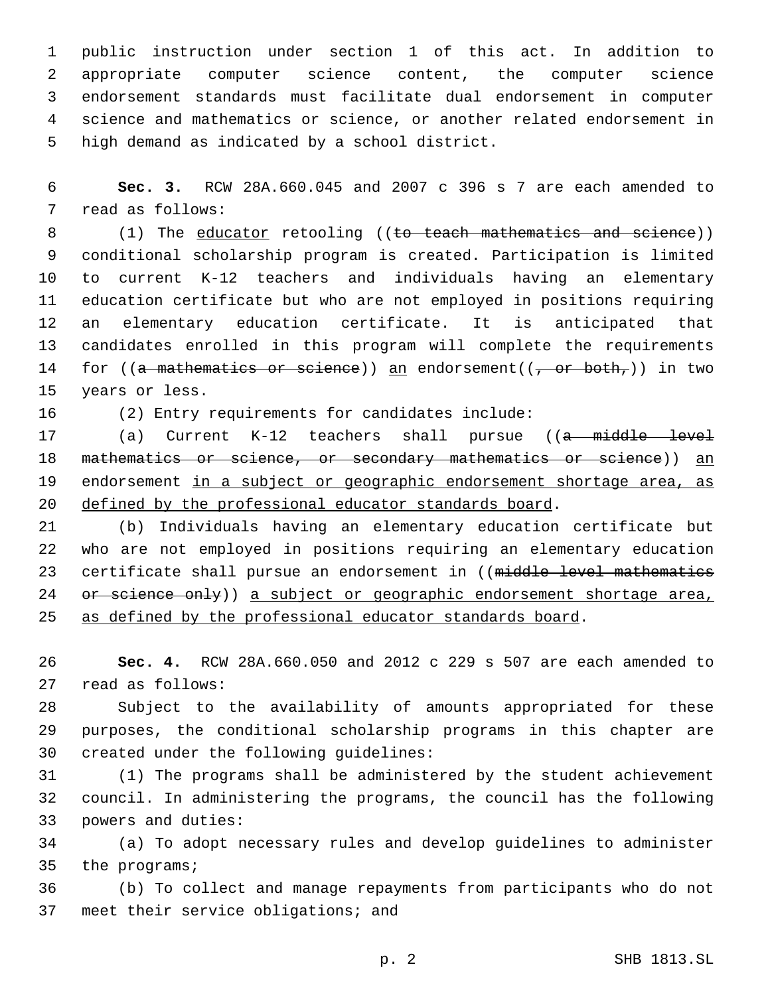public instruction under section 1 of this act. In addition to appropriate computer science content, the computer science endorsement standards must facilitate dual endorsement in computer science and mathematics or science, or another related endorsement in 5 high demand as indicated by a school district.

6 **Sec. 3.** RCW 28A.660.045 and 2007 c 396 s 7 are each amended to 7 read as follows:

8 (1) The educator retooling ((to teach mathematics and science)) conditional scholarship program is created. Participation is limited to current K-12 teachers and individuals having an elementary education certificate but who are not employed in positions requiring an elementary education certificate. It is anticipated that candidates enrolled in this program will complete the requirements 14 for ((a mathematics or science)) an endorsement( $(\tau$  or both,)) in two 15 years or less.

16 (2) Entry requirements for candidates include:

17 (a) Current K-12 teachers shall pursue ((a middle level 18 mathematics or science, or secondary mathematics or science)) an 19 endorsement in a subject or geographic endorsement shortage area, as 20 defined by the professional educator standards board.

21 (b) Individuals having an elementary education certificate but 22 who are not employed in positions requiring an elementary education 23 certificate shall pursue an endorsement in ((middle level mathematics 24 or science only)) a subject or geographic endorsement shortage area, 25 as defined by the professional educator standards board.

26 **Sec. 4.** RCW 28A.660.050 and 2012 c 229 s 507 are each amended to 27 read as follows:

28 Subject to the availability of amounts appropriated for these 29 purposes, the conditional scholarship programs in this chapter are 30 created under the following guidelines:

31 (1) The programs shall be administered by the student achievement 32 council. In administering the programs, the council has the following 33 powers and duties:

34 (a) To adopt necessary rules and develop guidelines to administer 35 the programs;

36 (b) To collect and manage repayments from participants who do not 37 meet their service obligations; and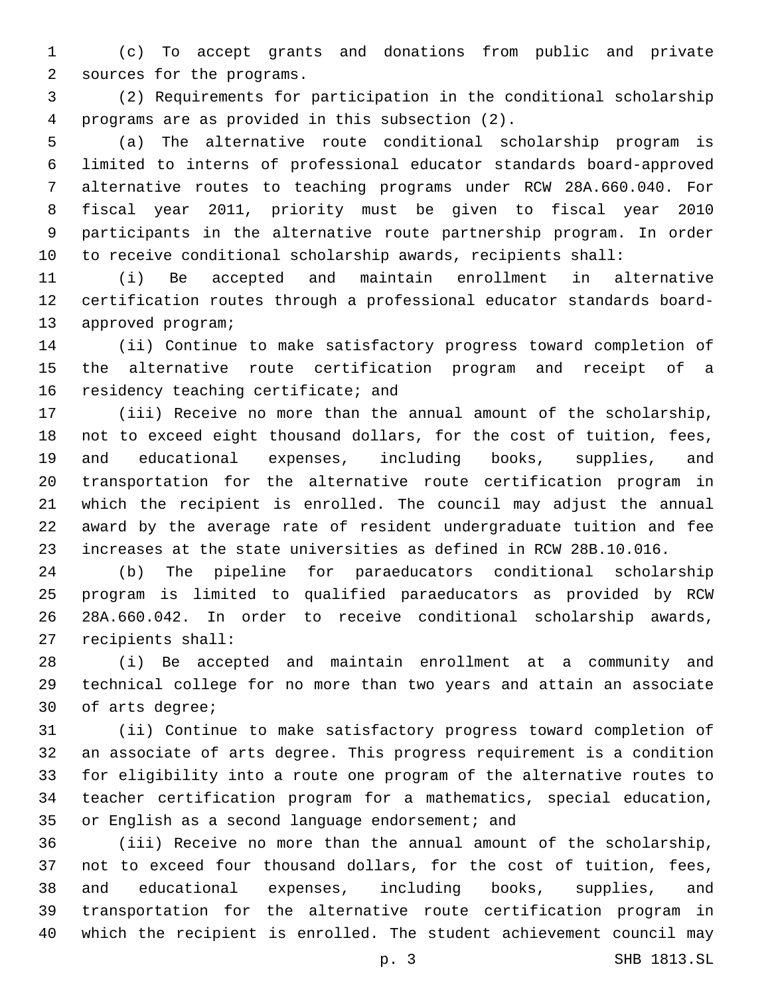(c) To accept grants and donations from public and private 2 sources for the programs.

 (2) Requirements for participation in the conditional scholarship programs are as provided in this subsection (2).4

 (a) The alternative route conditional scholarship program is limited to interns of professional educator standards board-approved alternative routes to teaching programs under RCW 28A.660.040. For fiscal year 2011, priority must be given to fiscal year 2010 participants in the alternative route partnership program. In order to receive conditional scholarship awards, recipients shall:

 (i) Be accepted and maintain enrollment in alternative certification routes through a professional educator standards board-13 approved program;

 (ii) Continue to make satisfactory progress toward completion of the alternative route certification program and receipt of a 16 residency teaching certificate; and

 (iii) Receive no more than the annual amount of the scholarship, not to exceed eight thousand dollars, for the cost of tuition, fees, and educational expenses, including books, supplies, and transportation for the alternative route certification program in which the recipient is enrolled. The council may adjust the annual award by the average rate of resident undergraduate tuition and fee increases at the state universities as defined in RCW 28B.10.016.

 (b) The pipeline for paraeducators conditional scholarship program is limited to qualified paraeducators as provided by RCW 28A.660.042. In order to receive conditional scholarship awards, 27 recipients shall:

 (i) Be accepted and maintain enrollment at a community and technical college for no more than two years and attain an associate 30 of arts degree;

 (ii) Continue to make satisfactory progress toward completion of an associate of arts degree. This progress requirement is a condition for eligibility into a route one program of the alternative routes to teacher certification program for a mathematics, special education, 35 or English as a second language endorsement; and

 (iii) Receive no more than the annual amount of the scholarship, not to exceed four thousand dollars, for the cost of tuition, fees, and educational expenses, including books, supplies, and transportation for the alternative route certification program in which the recipient is enrolled. The student achievement council may

p. 3 SHB 1813.SL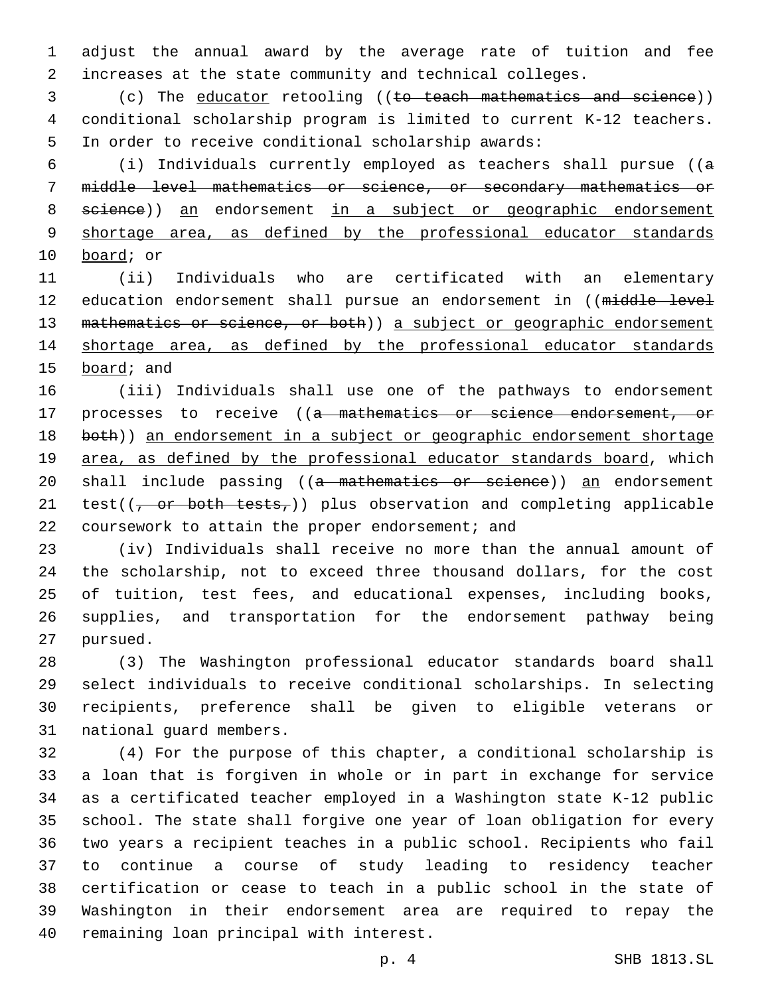adjust the annual award by the average rate of tuition and fee increases at the state community and technical colleges.

 (c) The educator retooling ((to teach mathematics and science)) conditional scholarship program is limited to current K-12 teachers. In order to receive conditional scholarship awards:

 (i) Individuals currently employed as teachers shall pursue ((a middle level mathematics or science, or secondary mathematics or 8 seience)) an endorsement in a subject or geographic endorsement shortage area, as defined by the professional educator standards 10 board; or

 (ii) Individuals who are certificated with an elementary 12 education endorsement shall pursue an endorsement in ((middle level 13 mathematics or science, or both) a subject or geographic endorsement shortage area, as defined by the professional educator standards 15 board; and

 (iii) Individuals shall use one of the pathways to endorsement 17 processes to receive ((a mathematics or science endorsement, or 18 both)) an endorsement in a subject or geographic endorsement shortage 19 area, as defined by the professional educator standards board, which 20 shall include passing ((a mathematics or science)) an endorsement 21 test( $(\frac{\pi}{2})$  or both tests,)) plus observation and completing applicable 22 coursework to attain the proper endorsement; and

 (iv) Individuals shall receive no more than the annual amount of the scholarship, not to exceed three thousand dollars, for the cost of tuition, test fees, and educational expenses, including books, supplies, and transportation for the endorsement pathway being 27 pursued.

 (3) The Washington professional educator standards board shall select individuals to receive conditional scholarships. In selecting recipients, preference shall be given to eligible veterans or 31 national quard members.

 (4) For the purpose of this chapter, a conditional scholarship is a loan that is forgiven in whole or in part in exchange for service as a certificated teacher employed in a Washington state K-12 public school. The state shall forgive one year of loan obligation for every two years a recipient teaches in a public school. Recipients who fail to continue a course of study leading to residency teacher certification or cease to teach in a public school in the state of Washington in their endorsement area are required to repay the 40 remaining loan principal with interest.